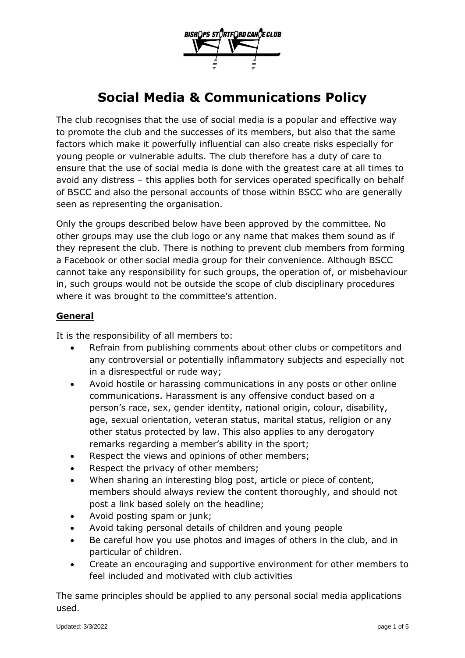

# **Social Media & Communications Policy**

The club recognises that the use of social media is a popular and effective way to promote the club and the successes of its members, but also that the same factors which make it powerfully influential can also create risks especially for young people or vulnerable adults. The club therefore has a duty of care to ensure that the use of social media is done with the greatest care at all times to avoid any distress – this applies both for services operated specifically on behalf of BSCC and also the personal accounts of those within BSCC who are generally seen as representing the organisation.

Only the groups described below have been approved by the committee. No other groups may use the club logo or any name that makes them sound as if they represent the club. There is nothing to prevent club members from forming a Facebook or other social media group for their convenience. Although BSCC cannot take any responsibility for such groups, the operation of, or misbehaviour in, such groups would not be outside the scope of club disciplinary procedures where it was brought to the committee's attention.

#### **General**

It is the responsibility of all members to:

- Refrain from publishing comments about other clubs or competitors and any controversial or potentially inflammatory subjects and especially not in a disrespectful or rude way;
- Avoid hostile or harassing communications in any posts or other online communications. Harassment is any offensive conduct based on a person's race, sex, gender identity, national origin, colour, disability, age, sexual orientation, veteran status, marital status, religion or any other status protected by law. This also applies to any derogatory remarks regarding a member's ability in the sport;
- Respect the views and opinions of other members;
- Respect the privacy of other members;
- When sharing an interesting blog post, article or piece of content, members should always review the content thoroughly, and should not post a link based solely on the headline;
- Avoid posting spam or junk;
- Avoid taking personal details of children and young people
- Be careful how you use photos and images of others in the club, and in particular of children.
- Create an encouraging and supportive environment for other members to feel included and motivated with club activities

The same principles should be applied to any personal social media applications used.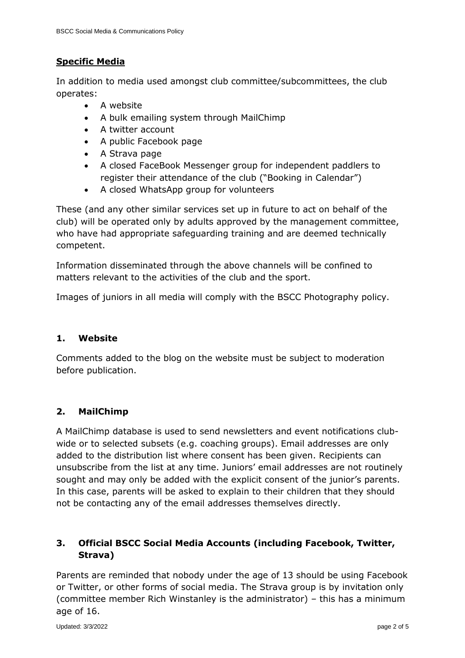### **Specific Media**

In addition to media used amongst club committee/subcommittees, the club operates:

- A website
- A bulk emailing system through MailChimp
- A twitter account
- A public Facebook page
- A Strava page
- A closed FaceBook Messenger group for independent paddlers to register their attendance of the club ("Booking in Calendar")
- A closed WhatsApp group for volunteers

These (and any other similar services set up in future to act on behalf of the club) will be operated only by adults approved by the management committee, who have had appropriate safeguarding training and are deemed technically competent.

Information disseminated through the above channels will be confined to matters relevant to the activities of the club and the sport.

Images of juniors in all media will comply with the BSCC Photography policy.

#### **1. Website**

Comments added to the blog on the website must be subject to moderation before publication.

#### **2. MailChimp**

A MailChimp database is used to send newsletters and event notifications clubwide or to selected subsets (e.g. coaching groups). Email addresses are only added to the distribution list where consent has been given. Recipients can unsubscribe from the list at any time. Juniors' email addresses are not routinely sought and may only be added with the explicit consent of the junior's parents. In this case, parents will be asked to explain to their children that they should not be contacting any of the email addresses themselves directly.

## **3. Official BSCC Social Media Accounts (including Facebook, Twitter, Strava)**

Parents are reminded that nobody under the age of 13 should be using Facebook or Twitter, or other forms of social media. The Strava group is by invitation only (committee member Rich Winstanley is the administrator) – this has a minimum age of 16.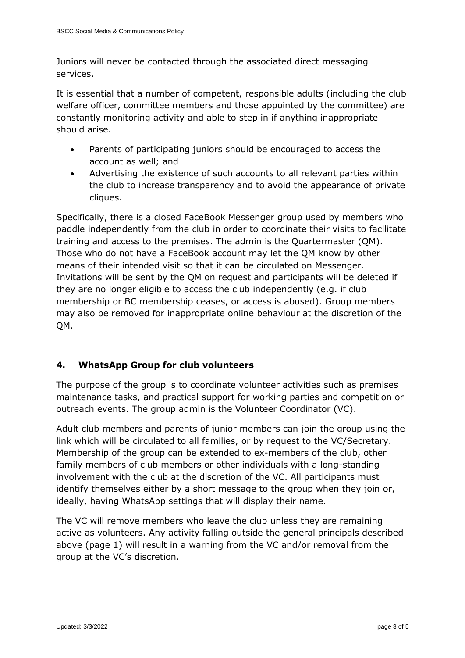Juniors will never be contacted through the associated direct messaging services.

It is essential that a number of competent, responsible adults (including the club welfare officer, committee members and those appointed by the committee) are constantly monitoring activity and able to step in if anything inappropriate should arise.

- Parents of participating juniors should be encouraged to access the account as well; and
- Advertising the existence of such accounts to all relevant parties within the club to increase transparency and to avoid the appearance of private cliques.

Specifically, there is a closed FaceBook Messenger group used by members who paddle independently from the club in order to coordinate their visits to facilitate training and access to the premises. The admin is the Quartermaster (QM). Those who do not have a FaceBook account may let the QM know by other means of their intended visit so that it can be circulated on Messenger. Invitations will be sent by the QM on request and participants will be deleted if they are no longer eligible to access the club independently (e.g. if club membership or BC membership ceases, or access is abused). Group members may also be removed for inappropriate online behaviour at the discretion of the QM.

## **4. WhatsApp Group for club volunteers**

The purpose of the group is to coordinate volunteer activities such as premises maintenance tasks, and practical support for working parties and competition or outreach events. The group admin is the Volunteer Coordinator (VC).

Adult club members and parents of junior members can join the group using the link which will be circulated to all families, or by request to the VC/Secretary. Membership of the group can be extended to ex-members of the club, other family members of club members or other individuals with a long-standing involvement with the club at the discretion of the VC. All participants must identify themselves either by a short message to the group when they join or, ideally, having WhatsApp settings that will display their name.

The VC will remove members who leave the club unless they are remaining active as volunteers. Any activity falling outside the general principals described above (page 1) will result in a warning from the VC and/or removal from the group at the VC's discretion.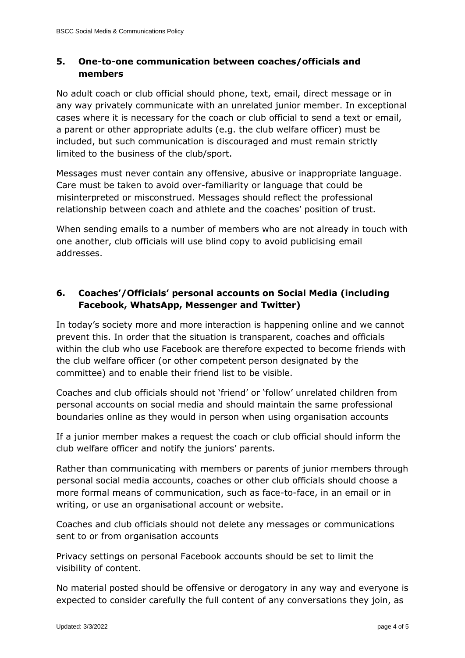### **5. One-to-one communication between coaches/officials and members**

No adult coach or club official should phone, text, email, direct message or in any way privately communicate with an unrelated junior member. In exceptional cases where it is necessary for the coach or club official to send a text or email, a parent or other appropriate adults (e.g. the club welfare officer) must be included, but such communication is discouraged and must remain strictly limited to the business of the club/sport.

Messages must never contain any offensive, abusive or inappropriate language. Care must be taken to avoid over-familiarity or language that could be misinterpreted or misconstrued. Messages should reflect the professional relationship between coach and athlete and the coaches' position of trust.

When sending emails to a number of members who are not already in touch with one another, club officials will use blind copy to avoid publicising email addresses.

## **6. Coaches'/Officials' personal accounts on Social Media (including Facebook, WhatsApp, Messenger and Twitter)**

In today's society more and more interaction is happening online and we cannot prevent this. In order that the situation is transparent, coaches and officials within the club who use Facebook are therefore expected to become friends with the club welfare officer (or other competent person designated by the committee) and to enable their friend list to be visible.

Coaches and club officials should not 'friend' or 'follow' unrelated children from personal accounts on social media and should maintain the same professional boundaries online as they would in person when using organisation accounts

If a junior member makes a request the coach or club official should inform the club welfare officer and notify the juniors' parents.

Rather than communicating with members or parents of junior members through personal social media accounts, coaches or other club officials should choose a more formal means of communication, such as face-to-face, in an email or in writing, or use an organisational account or website.

Coaches and club officials should not delete any messages or communications sent to or from organisation accounts

Privacy settings on personal Facebook accounts should be set to limit the visibility of content.

No material posted should be offensive or derogatory in any way and everyone is expected to consider carefully the full content of any conversations they join, as